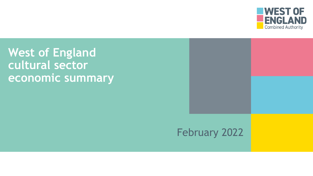

**West of England cultural sector economic summary**

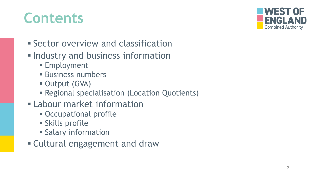## **Contents**



- **Exector overview and classification**
- **. Industry and business information** 
	- **Employment**
	- **E** Business numbers
	- **Output (GVA)**
	- **Regional specialisation (Location Quotients)**
- **ELabour market information** 
	- **Occupational profile**
	- **E** Skills profile
	- **Example 13 Salary information**
- **Example 1 Cultural engagement and draw**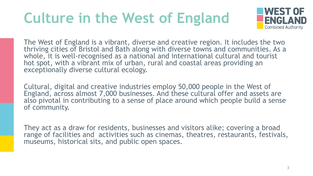# **Culture in the West of England**



The West of England is a vibrant, diverse and creative region. It includes the two thriving cities of Bristol and Bath along with diverse towns and communities. As a whole, it is well-recognised as a national and international cultural and tourist hot spot, with a vibrant mix of urban, rural and coastal areas providing an exceptionally diverse cultural ecology.

Cultural, digital and creative industries employ 50,000 people in the West of England, across almost 7,000 businesses. And these cultural offer and assets are also pivotal in contributing to a sense of place around which people build a sense of community.

They act as a draw for residents, businesses and visitors alike; covering a broad range of facilities and activities such as cinemas, theatres, restaurants, festivals, museums, historical sits, and public open spaces.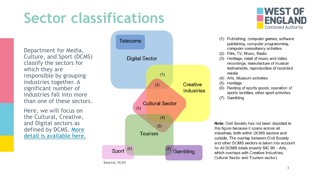# **Sector classifications**

Department for Media, Culture, and Sport (DCMS) classify the sectors for which they are responsible by grouping industries together. A significant number of industries fall into more than one of these sectors.

Here, we will focus on the Cultural, Creative, and Digital sectors as defined by DCMS. More [detail is available here.](https://www.gov.uk/government/publications/dcms-sectors-economic-estimates-methodology/dcms-sector-economic-estimates-methodology#fn:1)



**Source:** DCMS



- (1) Publishing, computer games, software publishing, computer programming, computer consultancy activities
- (2) Film, TV, Music, Radio
- (3) Heritage, retail of music and video recordings, manufacture of musical instruments, reproduction of recorded media
- (4) Arts, Museum activities
- $(5)$ Heritage
- Renting of sports goods, operation of  $(6)$ sports facilities, other sport activities
- (7) Gambling

**Note:** Civil Society has not been depicted in this figure because it spans across all industries, both within DCMS sectors and outside. The overlap between Civil Society and other DCMS sectors is taken into account for All DCMS totals (mainly SIC 90 - Arts, which overlaps with Creative Industries, Cultural Sector and Tourism sector).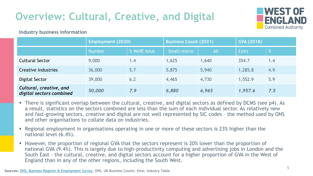## **Overview: Cultural, Creative, and Digital**



#### **Industry business information**

|                                                     | <b>Employment (2020)</b> |              | <b>Business Count (2021)</b> |       | <b>GVA (2018)</b> |     |
|-----------------------------------------------------|--------------------------|--------------|------------------------------|-------|-------------------|-----|
|                                                     | <b>Number</b>            | % WofE total | Small/micro                  | All   | f(m)              | %   |
| <b>Cultural Sector</b>                              | 9,000                    | 1.4          | 1,625                        | 1,640 | 354.7             | 1.4 |
| <b>Creative Industries</b>                          | 36,000                   | 5.7          | 5,875                        | 5,940 | 1,285.8           | 4.9 |
| Digital Sector                                      | 39,000                   | 6.2          | 4,465                        | 4,730 | 1,552.9           | 5.9 |
| Cultural, creative, and<br>digital sectors combined | 50,000                   | 7.9          | 6,880                        | 6,965 | 1,957.6           | 7.5 |

- There is significant overlap between the cultural, creative, and digital sectors as defined by DCMS (see p4). As a result, statistics on the sectors combined are less than the sum of each individual sector. As relatively new and fast-growing sectors, creative and digital are not well represented by SIC codes – the method used by ONS and other organisations to collate data on industries.
- Regional employment in organisations operating in one or more of these sectors is 23% higher than the national level (6.4%).
- However, the proportion of regional GVA that the sectors represent is 20% lower than the proportion of national GVA (9.4%). This is largely due to high-productivity computing and advertising jobs in London and the South East – the cultural, creative, and digital sectors account for a higher proportion of GVA in the West of England than in any of the other regions, including the South West.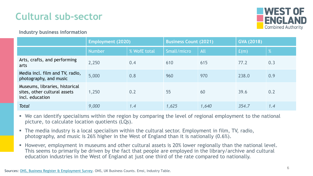## **Cultural sub-sector**



#### **Industry business information**

|                                                                                   | <b>Employment (2020)</b> |              | <b>Business Count (2021)</b> |            | <b>GVA (2018)</b> |     |
|-----------------------------------------------------------------------------------|--------------------------|--------------|------------------------------|------------|-------------------|-----|
|                                                                                   | <b>Number</b>            | % WofE total | Small/micro                  | <b>All</b> | f(m)              | %   |
| Arts, crafts, and performing<br>arts                                              | 2,250                    | 0.4          | 610                          | 615        | 77.2              | 0.3 |
| Media incl. film and TV, radio,<br>photography, and music                         | 5,000                    | 0.8          | 960                          | 970        | 238.0             | 0.9 |
| Museums, libraries, historical<br>sites, other cultural assets<br>incl. education | 1,250                    | 0.2          | 55                           | 60         | 39.6              | 0.2 |
| <b>Total</b>                                                                      | 9,000                    | 1.4          | 1,625                        | 1,640      | 354.7             | 1.4 |

- We can identify specialisms within the region by comparing the level of regional employment to the national picture, to calculate location quotients (LQs).
- The media industry is a local specialism within the cultural sector. Employment in film, TV, radio, photography, and music is 26% higher in the West of England than it is nationally (0.6%).
- However, employment in museums and other cultural assets is 20% lower regionally than the national level. This seems to primarily be driven by the fact that people are employed in the library/archive and cultural education industries in the West of England at just one third of the rate compared to nationally.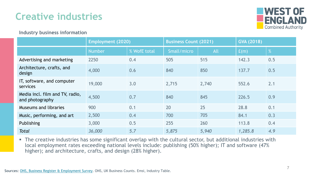### **Creative industries**



#### **Industry business information**

|                                                    | <b>Employment (2020)</b> |              | <b>Business Count (2021)</b> |            | <b>GVA (2018)</b> |     |
|----------------------------------------------------|--------------------------|--------------|------------------------------|------------|-------------------|-----|
|                                                    | <b>Number</b>            | % WofE total | Small/micro                  | <b>All</b> | f(m)              | %   |
| Advertising and marketing                          | 2250                     | 0.4          | 505                          | 515        | 142.3             | 0.5 |
| Architecture, crafts, and<br>design                | 4,000                    | 0.6          | 840                          | 850        | 137.7             | 0.5 |
| IT, software, and computer<br><b>services</b>      | 19,000                   | 3.0          | 2,715                        | 2,740      | 552.6             | 2.1 |
| Media incl. film and TV, radio,<br>and photography | 4,500                    | 0.7          | 840                          | 845        | 226.5             | 0.9 |
| <b>Museums and libraries</b>                       | 900                      | 0.1          | 20                           | 25         | 28.8              | 0.1 |
| Music, performing, and art                         | 2,500                    | 0.4          | 700                          | 705        | 84.1              | 0.3 |
| Publishing                                         | 3,000                    | 0.5          | 255                          | 260        | 113.8             | 0.4 |
| <b>Total</b>                                       | 36,000                   | 5.7          | 5,875                        | 5,940      | 1,285.8           | 4.9 |

**The creative industries has some significant overlap with the cultural sector, but additional industries with** local employment rates exceeding national levels include: publishing (50% higher); IT and software (47% higher); and architecture, crafts, and design (28% higher).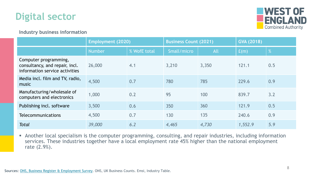



#### **Industry business information**

|                                                                                           | <b>Employment (2020)</b> |              | <b>Business Count (2021)</b> |            | <b>GVA (2018)</b> |      |
|-------------------------------------------------------------------------------------------|--------------------------|--------------|------------------------------|------------|-------------------|------|
|                                                                                           | <b>Number</b>            | % WofE total | Small/micro                  | <b>All</b> | E(m)              | $\%$ |
| Computer programming,<br>consultancy, and repair, incl.<br>information service activities | 26,000                   | 4.1          | 3,210                        | 3,350      | 121.1             | 0.5  |
| Media incl. film and TV, radio,<br>music                                                  | 4,500                    | 0.7          | 780                          | 785        | 229.6             | 0.9  |
| Manufacturing/wholesale of<br>computers and electronics                                   | 1,000                    | 0.2          | 95                           | 100        | 839.7             | 3.2  |
| Publishing incl. software                                                                 | 3,500                    | 0.6          | 350                          | 360        | 121.9             | 0.5  |
| <b>Telecommunications</b>                                                                 | 4,500                    | 0.7          | 130                          | 135        | 240.6             | 0.9  |
| <b>Total</b>                                                                              | 39,000                   | 6.2          | 4,465                        | 4,730      | 1,552.9           | 5.9  |

**EX Another local specialism is the computer programming, consulting, and repair industries, including information** services. These industries together have a local employment rate 45% higher than the national employment rate (2.9%).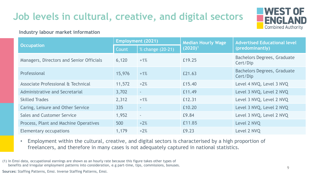## **Job levels in cultural, creative, and digital sectors**

#### **Industry labour market information**



|                                          | <b>Employment (2021)</b> |                              | <b>Median Hourly Wage</b> | <b>Advertised Educational level</b>            |  |
|------------------------------------------|--------------------------|------------------------------|---------------------------|------------------------------------------------|--|
| <b>Occupation</b>                        | Count                    | $\frac{9}{2}$ Change (20-21) | $(2020)^1$                | (predominantly)                                |  |
| Managers, Directors and Senior Officials | 6,120                    | $+1%$                        | £19.25                    | <b>Bachelors Degrees, Graduate</b><br>Cert/Dip |  |
| Professional                             | 15,976                   | $+1%$                        | £21.63                    | <b>Bachelors Degrees, Graduate</b><br>Cert/Dip |  |
| Associate Professional & Technical       | 11,572                   | $+2%$                        | £15.40                    | Level 4 NVQ, Level 3 NVQ                       |  |
| <b>Administrative and Secretarial</b>    | 3,702                    | $\sim$                       | £11.49                    | Level 3 NVQ, Level 2 NVQ                       |  |
| <b>Skilled Trades</b>                    | 2,312                    | $+1%$                        | £12.31                    | Level 3 NVQ, Level 2 NVQ                       |  |
| Caring, Leisure and Other Service        | 335                      | $\sim$                       | £10.20                    | Level 3 NVQ, Level 2 NVQ                       |  |
| <b>Sales and Customer Service</b>        | 1,952                    | $\sim$                       | £9.84                     | Level 3 NVQ, Level 2 NVQ                       |  |
| Process, Plant and Machine Operatives    | 500                      | $+2%$                        | £11.85                    | Level 2 NVQ                                    |  |
| Elementary occupations                   | 1,179                    | $+2%$                        | £9.23                     | Level 2 NVQ                                    |  |

- Employment within the cultural, creative, and digital sectors is characterised by a high proportion of freelancers, and therefore in many cases is not adequately captured in national statistics.
- (1) In Emsi data, occupational earnings are shown as an hourly rate because this figure takes other types of benefits and irregular employment patterns into consideration, e.g part-time, tips, commissions, bonuses.

**Sources:** Staffing Patterns, Emsi. Inverse Staffing Patterns, Emsi.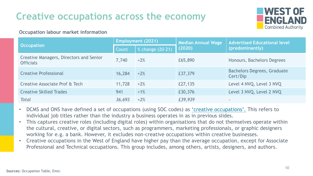## **Creative occupations across the economy**

### WEST OF **Combined Authority**

#### **Occupation labour market information**

|                                                             | <b>Employment (2021)</b> |                  | <b>Median Annual Wage</b> | <b>Advertised Educational level</b>            |  |
|-------------------------------------------------------------|--------------------------|------------------|---------------------------|------------------------------------------------|--|
| <b>Occupation</b>                                           | Count                    | % change (20-21) | (2020)                    | (predominantly)                                |  |
| Creative Managers, Directors and Senior<br><b>Officials</b> | 7,740                    | $+2%$            | £65,890                   | Honours, Bachelors Degrees                     |  |
| <b>Creative Professional</b>                                | 16,284                   | $+2%$            | £37,379                   | <b>Bachelors Degrees, Graduate</b><br>Cert/Dip |  |
| Creative Associate Prof & Tech                              | 11,728                   | $+2%$            | £27,135                   | Level 4 NVQ, Level 3 NVQ                       |  |
| <b>Creative Skilled Trades</b>                              | 941                      | $+1%$            | £30,376                   | Level 3 NVQ, Level 2 NVQ                       |  |
| Total                                                       | 36,693                   | $+2%$            | £39,939                   | $\sim$                                         |  |

- DCMS and ONS have defined a set of occupations (using SOC codes) as ['creative occupations'.](https://assets.publishing.service.gov.uk/government/uploads/system/uploads/attachment_data/file/499683/CIEE_Methodology.pdf) This refers to individual job titles rather than the industry a business operates in as in previous slides.
- This captures creative roles (including digital roles) within organisations that do not themselves operate within the cultural, creative, or digital sectors, such as programmers, marketing professionals, or graphic designers working for e.g. a bank. However, it excludes non-creative occupations within creative businesses.
- Creative occupations in the West of England have higher pay than the average occupation, except for Associate Professional and Technical occupations. This group includes, among others, artists, designers, and authors.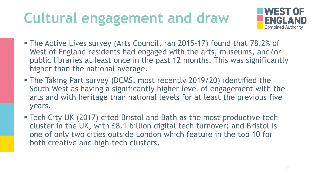# **Cultural engagement and draw**



- The Active Lives survey (Arts Council, ran 2015-17) found that 78.2% of West of England residents had engaged with the arts, museums, and/or public libraries at least once in the past 12 months. This was significantly higher than the national average.
- **The Taking Part survey (DCMS, most recently 2019/20) identified the** South West as having a significantly higher level of engagement with the arts and with heritage than national levels for at least the previous five years.
- Tech City UK (2017) cited Bristol and Bath as the most productive tech cluster in the UK, with £8.1 billion digital tech turnover; and Bristol is one of only two cities outside London which feature in the top 10 for both creative and high-tech clusters.